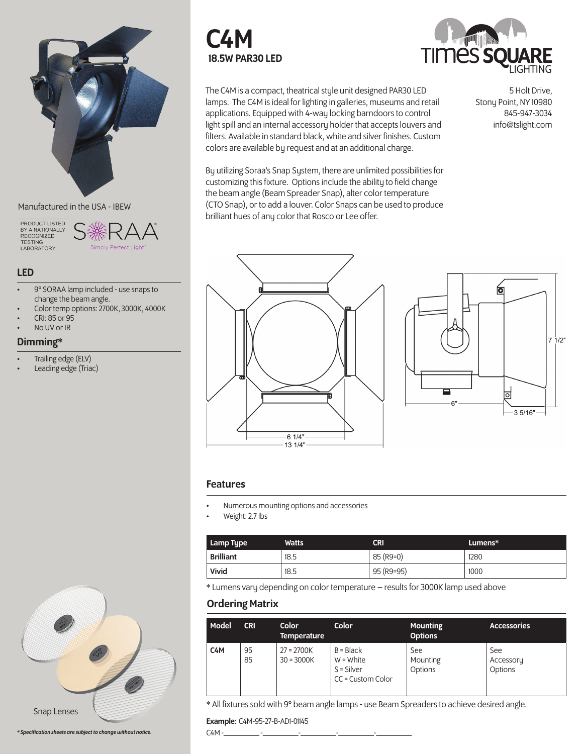

### Manufactured in the USA - IBEW

PRODUCT LISTED<br>BY A NATIONALLY RECOGNIZED<br>TESTING LABORATORY



## LED

- 9° SORAA lamp included use snaps to change the beam angle.
- Color temp options: 2700K, 3000K, 4000K
- CRI: 85 or 95
- No UV or IR

# Dimming\*

- Trailing edge (ELV)
- Leading edge (Triac)





5 Holt Drive,

Stony Point, NY 10980 845-947-3034 info@tslight.com

The C4M is a compact, theatrical style unit designed PAR30 LED lamps. The C4M is ideal for lighting in galleries, museums and retail applications. Equipped with 4-way locking barndoors to control light spill and an internal accessory holder that accepts louvers and filters. Available in standard black, white and silver finishes. Custom colors are available by request and at an additional charge.

By utilizing Soraa's Snap System, there are unlimited possibilities for customizing this fixture. Options include the ability to field change the beam angle (Beam Spreader Snap), alter color temperature (CTO Snap), or to add a louver. Color Snaps can be used to produce brilliant hues of any color that Rosco or Lee offer.





### Features

- Numerous mounting options and accessories
- Weight: 2.7 lbs

| Lamp Type        | <b>Watts</b> | CRI        | Lumens* |
|------------------|--------------|------------|---------|
| <b>Brilliant</b> | 18.5         | 85 (R9=0)  | 1280    |
| Vivid            | 18.5         | 95 (R9=95) | 1000    |

\* Lumens vary depending on color temperature – results for 3000K lamp used above

# Ordering Matrix

| Model            | <b>CRI</b> | Color<br><b>Temperature</b>  | <b>Color</b>                                                    | <b>Mounting</b><br><b>Options</b> | <b>Accessories</b>          |
|------------------|------------|------------------------------|-----------------------------------------------------------------|-----------------------------------|-----------------------------|
| C <sub>4</sub> M | 95<br>85   | $27 = 2700K$<br>$30 = 3000K$ | $B = Black$<br>$W = White$<br>$S = Silver$<br>CC = Custom Color | See<br>Mounting<br>Options        | See<br>Accessory<br>Options |

\* All fixtures sold with 9° beam angle lamps - use Beam Spreaders to achieve desired angle.

Example: C4M-95-27-B-AD1-01145

C4M -\_\_\_\_\_\_\_\_\_ -\_\_\_\_\_\_\_\_\_-\_\_\_\_\_\_\_\_\_-\_\_\_\_\_\_\_\_\_-\_\_\_\_\_\_\_\_\_



Snap Lenses